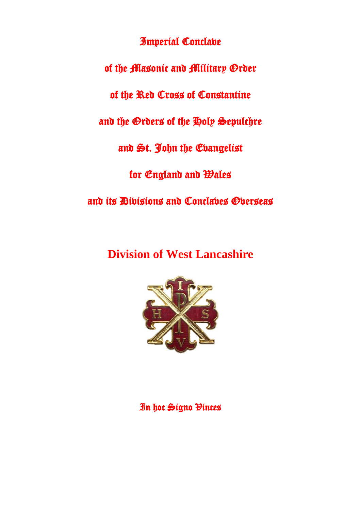Imperial Conclave

of the Masonic and Military Order

of the Red Cross of Constantine

and the Orders of the Holy Sepulchre

and St. John the Evangelist

for England and Wales

and its Divisions and Conclaves Overseas

**Division of West Lancashire**



In hoc Signo Vinces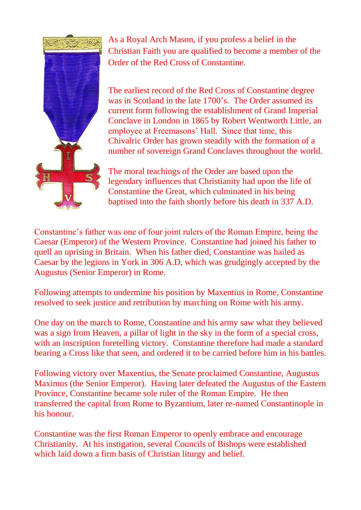

As a Royal Arch Mason, if you profess a belief in the Christian Faith you are qualified to become a member of the Order of the Red Cross of Constantine.

The earliest record of the Red Cross of Constantine degree was in Scotland in the late 1700's. The Order assumed its current form following the establishment of Grand Imperial Conclave in London in 1865 by Robert Wentworth Little, an employee at Freemasons' Hall. Since that time, this Chivalric Order has grown steadily with the formation of a number of sovereign Grand Conclaves throughout the world.

The moral teachings of the Order are based upon the legendary influences that Christianity had upon the life of Constantine the Great, which culminated in his being baptised into the faith shortly before his death in 337 A.D.

Constantine's father was one of four joint rulers of the Roman Empire, being the Caesar (Emperor) of the Western Province. Constantine had joined his father to quell an uprising in Britain. When his father died, Constantine was hailed as Caesar by the legions in York in 306 A.D, which was grudgingly accepted by the Augustus (Senior Emperor) in Rome.

Following attempts to undermine his position by Maxentius in Rome, Constantine resolved to seek justice and retribution by marching on Rome with his army.

One day on the march to Rome, Constantine and his army saw what they believed was a sign from Heaven, a pillar of light in the sky in the form of a special cross, with an inscription foretelling victory. Constantine therefore had made a standard bearing a Cross like that seen, and ordered it to be carried before him in his battles.

Following victory over Maxentius, the Senate proclaimed Constantine, Augustus Maximus (the Senior Emperor). Having later defeated the Augustus of the Eastern Province, Constantine became sole ruler of the Roman Empire. He then transferred the capital from Rome to Byzantium, later re-named Constantinople in his honour.

Constantine was the first Roman Emperor to openly embrace and encourage Christianity. At his instigation, several Councils of Bishops were established which laid down a firm basis of Christian liturgy and belief.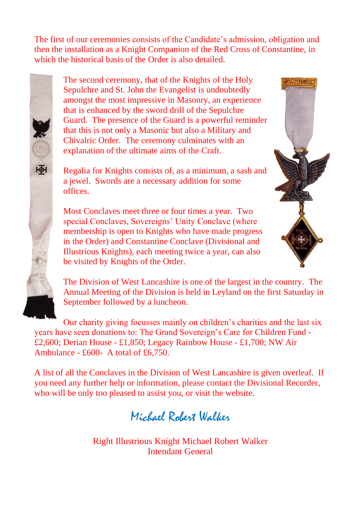The first of our ceremonies consists of the Candidate's admission, obligation and then the installation as a Knight Companion of the Red Cross of Constantine, in which the historical basis of the Order is also detailed.



The second ceremony, that of the Knights of the Holy Sepulchre and St. John the Evangelist is undoubtedly amongst the most impressive in Masonry, an experience that is enhanced by the sword drill of the Sepulchre Guard. The presence of the Guard is a powerful reminder that this is not only a Masonic but also a Military and Chivalric Order. The ceremony culminates with an explanation of the ultimate aims of the Craft.

Regalia for Knights consists of, as a minimum, a sash and a jewel. Swords are a necessary addition for some offices.

Most Conclaves meet three or four times a year. Two special Conclaves, Sovereigns' Unity Conclave (where membership is open to Knights who have made progress in the Order) and Constantine Conclave (Divisional and Illustrious Knights), each meeting twice a year, can also be visited by Knights of the Order.



Our charity giving focusses mainly on children's charities and the last six years have seen donations to: The Grand Sovereign's Care for Children Fund - £2,600; Derian House - £1,850; Legacy Rainbow House - £1,700; NW Air Ambulance - £600- A total of £6,750.

A list of all the Conclaves in the Division of West Lancashire is given overleaf. If you need any further help or information, please contact the Divisional Recorder, who will be only too pleased to assist you, or visit the website.

Michael Robert Walker

Right Illustrious Knight Michael Robert Walker Intendant General